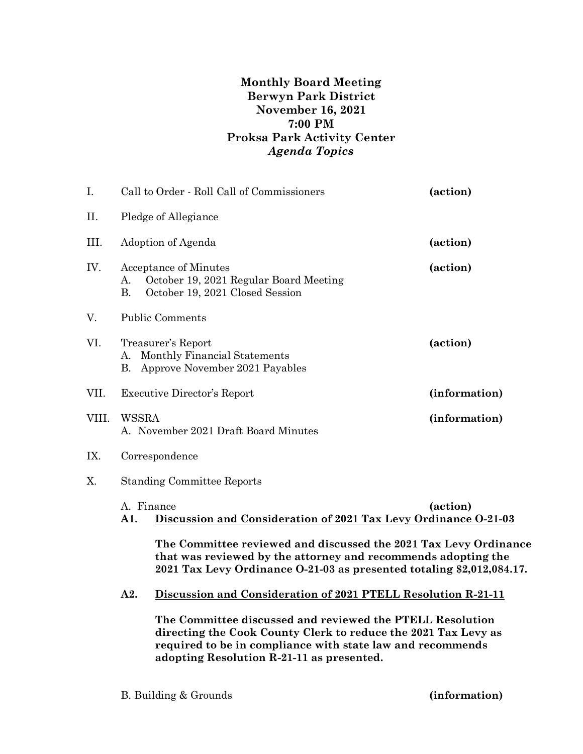## **Monthly Board Meeting Berwyn Park District November 16, 2021 7:00 PM Proksa Park Activity Center** *Agenda Topics*

| I.    | Call to Order - Roll Call of Commissioners                                                                                                                                                                                             |                                                                                                           | (action)      |  |
|-------|----------------------------------------------------------------------------------------------------------------------------------------------------------------------------------------------------------------------------------------|-----------------------------------------------------------------------------------------------------------|---------------|--|
| Η.    | Pledge of Allegiance                                                                                                                                                                                                                   |                                                                                                           |               |  |
| III.  | Adoption of Agenda                                                                                                                                                                                                                     |                                                                                                           | (action)      |  |
| IV.   | A.<br><b>B.</b>                                                                                                                                                                                                                        | <b>Acceptance of Minutes</b><br>October 19, 2021 Regular Board Meeting<br>October 19, 2021 Closed Session | (action)      |  |
| V.    |                                                                                                                                                                                                                                        | <b>Public Comments</b>                                                                                    |               |  |
| VI.   | А.<br>В.                                                                                                                                                                                                                               | Treasurer's Report<br>(action)<br>Monthly Financial Statements<br>Approve November 2021 Payables          |               |  |
| VII.  | <b>Executive Director's Report</b>                                                                                                                                                                                                     |                                                                                                           | (information) |  |
| VIII. | WSSRA<br>(information)<br>A. November 2021 Draft Board Minutes                                                                                                                                                                         |                                                                                                           |               |  |
| IX.   | Correspondence                                                                                                                                                                                                                         |                                                                                                           |               |  |
| X.    | <b>Standing Committee Reports</b>                                                                                                                                                                                                      |                                                                                                           |               |  |
|       | A. Finance<br>(action)<br>Discussion and Consideration of 2021 Tax Levy Ordinance 0-21-03<br>A1.                                                                                                                                       |                                                                                                           |               |  |
|       | The Committee reviewed and discussed the 2021 Tax Levy Ordinance<br>that was reviewed by the attorney and recommends adopting the<br>2021 Tax Levy Ordinance O-21-03 as presented totaling \$2,012,084.17.                             |                                                                                                           |               |  |
|       | A2.                                                                                                                                                                                                                                    | Discussion and Consideration of 2021 PTELL Resolution R-21-11                                             |               |  |
|       | The Committee discussed and reviewed the PTELL Resolution<br>directing the Cook County Clerk to reduce the 2021 Tax Levy as<br>required to be in compliance with state law and recommends<br>adopting Resolution R-21-11 as presented. |                                                                                                           |               |  |